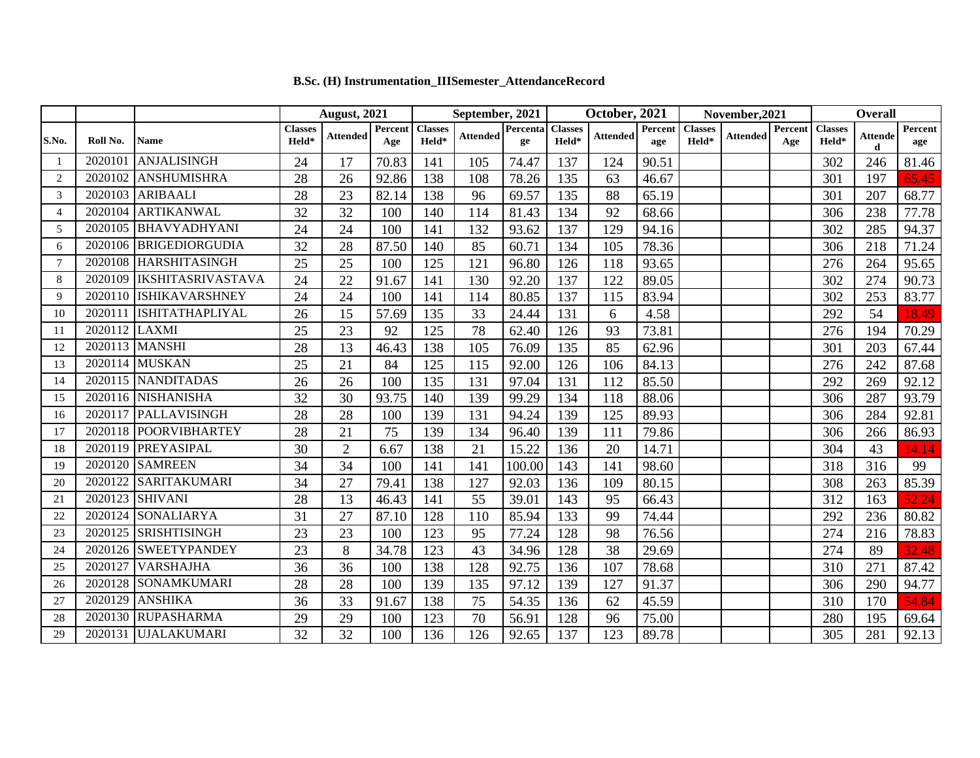|                |               |                          | <b>August, 2021</b>     |                 |                | September, 2021                              |                 |                | October, 2021           |                 |                       | November, 2021          |                 |                  | Overall                                      |                     |                |
|----------------|---------------|--------------------------|-------------------------|-----------------|----------------|----------------------------------------------|-----------------|----------------|-------------------------|-----------------|-----------------------|-------------------------|-----------------|------------------|----------------------------------------------|---------------------|----------------|
| S.No.          | Roll No.      | Name                     | <b>Classes</b><br>Held* | <b>Attended</b> | Percent<br>Age | <b>Classes</b><br>$\mathbf{H}\mathbf{eld}^*$ | <b>Attended</b> | Percenta<br>ge | <b>Classes</b><br>Held* | <b>Attended</b> | <b>Percent</b><br>age | <b>Classes</b><br>Held* | <b>Attended</b> | Percent  <br>Age | <b>Classes</b><br>$\mathbf{H}\mathbf{eld}^*$ | <b>Attende</b><br>d | Percent<br>age |
|                | 2020101       | ANJALISINGH              | 24                      | 17              | 70.83          | 141                                          | 105             | 74.47          | 137                     | 124             | 90.51                 |                         |                 |                  | 302                                          | 246                 | 81.46          |
| 2              | 2020102       | <b>ANSHUMISHRA</b>       | 28                      | 26              | 92.86          | 138                                          | 108             | 78.26          | 135                     | 63              | 46.67                 |                         |                 |                  | 301                                          | 197                 | 65.45          |
| 3              | 2020103       | <b>ARIBAALI</b>          | 28                      | 23              | 82.14          | 138                                          | 96              | 69.57          | 135                     | 88              | 65.19                 |                         |                 |                  | 301                                          | 207                 | 68.77          |
| $\overline{4}$ | 2020104       | ARTIKANWAL               | 32                      | 32              | 100            | 140                                          | 114             | 81.43          | 134                     | 92              | 68.66                 |                         |                 |                  | 306                                          | 238                 | 77.78          |
| 5              | 2020105       | <b>BHAVYADHYANI</b>      | 24                      | 24              | 100            | 141                                          | 132             | 93.62          | 137                     | 129             | 94.16                 |                         |                 |                  | 302                                          | 285                 | 94.37          |
| 6              |               | 2020106 BRIGEDIORGUDIA   | 32                      | 28              | 87.50          | 140                                          | 85              | 60.71          | 134                     | 105             | 78.36                 |                         |                 |                  | 306                                          | 218                 | 71.24          |
| 7              | 2020108       | <b>HARSHITASINGH</b>     | 25                      | 25              | 100            | 125                                          | 121             | 96.80          | 126                     | 118             | 93.65                 |                         |                 |                  | 276                                          | 264                 | 95.65          |
| 8              | 2020109       | <b>IKSHITASRIVASTAVA</b> | 24                      | 22              | 91.67          | 141                                          | 130             | 92.20          | 137                     | 122             | 89.05                 |                         |                 |                  | 302                                          | 274                 | 90.73          |
| 9              |               | 2020110 ISHIKAVARSHNEY   | 24                      | 24              | 100            | 141                                          | 114             | 80.85          | 137                     | 115             | 83.94                 |                         |                 |                  | 302                                          | 253                 | 83.77          |
| 10             | 2020111       | <b>ISHITATHAPLIYAL</b>   | 26                      | 15              | 57.69          | 135                                          | 33              | 24.44          | 131                     | 6               | 4.58                  |                         |                 |                  | 292                                          | 54                  | 18.49          |
| 11             | 2020112 LAXMI |                          | 25                      | 23              | 92             | 125                                          | 78              | 62.40          | 126                     | 93              | 73.81                 |                         |                 |                  | 276                                          | 194                 | 70.29          |
| 12             |               | 2020113 MANSHI           | 28                      | 13              | 46.43          | 138                                          | 105             | 76.09          | 135                     | 85              | 62.96                 |                         |                 |                  | 301                                          | 203                 | 67.44          |
| 13             |               | 2020114 MUSKAN           | 25                      | 21              | 84             | 125                                          | 115             | 92.00          | 126                     | 106             | 84.13                 |                         |                 |                  | 276                                          | 242                 | 87.68          |
| 14             |               | 2020115 NANDITADAS       | 26                      | 26              | 100            | 135                                          | 131             | 97.04          | 131                     | 112             | 85.50                 |                         |                 |                  | 292                                          | 269                 | 92.12          |
| 15             |               | 2020116 NISHANISHA       | 32                      | 30              | 93.75          | 140                                          | 139             | 99.29          | 134                     | 118             | 88.06                 |                         |                 |                  | 306                                          | 287                 | 93.79          |
| 16             | 2020117       | PALLAVISINGH             | 28                      | 28              | 100            | 139                                          | 131             | 94.24          | 139                     | 125             | 89.93                 |                         |                 |                  | 306                                          | 284                 | 92.81          |
| 17             |               | 2020118 POORVIBHARTEY    | 28                      | 21              | 75             | 139                                          | 134             | 96.40          | 139                     | 111             | 79.86                 |                         |                 |                  | 306                                          | 266                 | 86.93          |
| 18             |               | 2020119 PREYASIPAL       | 30                      | $\overline{2}$  | 6.67           | 138                                          | 21              | 15.22          | 136                     | 20              | 14.71                 |                         |                 |                  | 304                                          | 43                  | 14.14          |
| 19             | 2020120       | <b>SAMREEN</b>           | 34                      | 34              | 100            | 141                                          | 141             | 100.00         | 143                     | 141             | 98.60                 |                         |                 |                  | 318                                          | 316                 | 99             |
| 20             | 2020122       | <b>SARITAKUMARI</b>      | 34                      | 27              | 79.41          | 138                                          | 127             | 92.03          | 136                     | 109             | 80.15                 |                         |                 |                  | 308                                          | 263                 | 85.39          |
| 21             |               | 2020123 SHIVANI          | 28                      | 13              | 46.43          | 141                                          | 55              | 39.01          | 143                     | 95              | 66.43                 |                         |                 |                  | 312                                          | 163                 | 52.24          |
| 22             | 2020124       | <b>SONALIARYA</b>        | 31                      | 27              | 87.10          | 128                                          | 110             | 85.94          | 133                     | 99              | 74.44                 |                         |                 |                  | 292                                          | 236                 | 80.82          |
| 23             |               | 2020125 SRISHTISINGH     | 23                      | 23              | 100            | 123                                          | 95              | 77.24          | 128                     | 98              | 76.56                 |                         |                 |                  | 274                                          | 216                 | 78.83          |
| 24             |               | 2020126 SWEETYPANDEY     | 23                      | 8               | 34.78          | 123                                          | 43              | 34.96          | 128                     | 38              | 29.69                 |                         |                 |                  | 274                                          | 89                  | 32.48          |
| 25             | 2020127       | <b>VARSHAJHA</b>         | 36                      | 36              | 100            | 138                                          | 128             | 92.75          | 136                     | 107             | 78.68                 |                         |                 |                  | 310                                          | 271                 | 87.42          |
| 26             | 2020128       | <b>SONAMKUMARI</b>       | 28                      | 28              | 100            | 139                                          | 135             | 97.12          | 139                     | 127             | 91.37                 |                         |                 |                  | 306                                          | 290                 | 94.77          |
| 27             | 2020129       | <b>ANSHIKA</b>           | 36                      | 33              | 91.67          | 138                                          | 75              | 54.35          | 136                     | 62              | 45.59                 |                         |                 |                  | 310                                          | 170                 | 54.84          |
| 28             |               | 2020130 RUPASHARMA       | 29                      | 29              | 100            | 123                                          | 70              | 56.91          | 128                     | 96              | 75.00                 |                         |                 |                  | 280                                          | 195                 | 69.64          |
| 29             |               | 2020131 UJALAKUMARI      | 32                      | 32              | 100            | 136                                          | 126             | 92.65          | 137                     | 123             | 89.78                 |                         |                 |                  | 305                                          | 281                 | 92.13          |

## **B.Sc. (H) Instrumentation\_IIISemester\_AttendanceRecord**